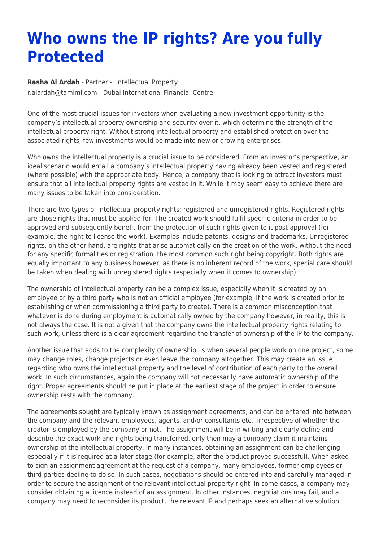## **Who owns the IP rights? Are you fully Protected**

**[Rasha Al Ardah](https://www.tamimi.com/find-a-lawyer/rasha-al-ardah/)** - Partner - [Intellectual Property](https://www.tamimi.com/client-services/practices/intellectual-property/) [r.alardah@tamimi.com](mailto:r.alardah@tamimi.com) - [Dubai International Financial Centre](https://www.tamimi.com/locations/uae/)

One of the most crucial issues for investors when evaluating a new investment opportunity is the company's intellectual property ownership and security over it, which determine the strength of the intellectual property right. Without strong intellectual property and established protection over the associated rights, few investments would be made into new or growing enterprises.

Who owns the intellectual property is a crucial issue to be considered. From an investor's perspective, an ideal scenario would entail a company's intellectual property having already been vested and registered (where possible) with the appropriate body. Hence, a company that is looking to attract investors must ensure that all intellectual property rights are vested in it. While it may seem easy to achieve there are many issues to be taken into consideration.

There are two types of intellectual property rights; registered and unregistered rights. Registered rights are those rights that must be applied for. The created work should fulfil specific criteria in order to be approved and subsequently benefit from the protection of such rights given to it post-approval (for example, the right to license the work). Examples include patents, designs and trademarks. Unregistered rights, on the other hand, are rights that arise automatically on the creation of the work, without the need for any specific formalities or registration, the most common such right being copyright. Both rights are equally important to any business however, as there is no inherent record of the work, special care should be taken when dealing with unregistered rights (especially when it comes to ownership).

The ownership of intellectual property can be a complex issue, especially when it is created by an employee or by a third party who is not an official employee (for example, if the work is created prior to establishing or when commissioning a third party to create). There is a common misconception that whatever is done during employment is automatically owned by the company however, in reality, this is not always the case. It is not a given that the company owns the intellectual property rights relating to such work, unless there is a clear agreement regarding the transfer of ownership of the IP to the company.

Another issue that adds to the complexity of ownership, is when several people work on one project, some may change roles, change projects or even leave the company altogether. This may create an issue regarding who owns the intellectual property and the level of contribution of each party to the overall work. In such circumstances, again the company will not necessarily have automatic ownership of the right. Proper agreements should be put in place at the earliest stage of the project in order to ensure ownership rests with the company.

The agreements sought are typically known as assignment agreements, and can be entered into between the company and the relevant employees, agents, and/or consultants etc., irrespective of whether the creator is employed by the company or not. The assignment will be in writing and clearly define and describe the exact work and rights being transferred, only then may a company claim it maintains ownership of the intellectual property. In many instances, obtaining an assignment can be challenging, especially if it is required at a later stage (for example, after the product proved successful). When asked to sign an assignment agreement at the request of a company, many employees, former employees or third parties decline to do so. In such cases, negotiations should be entered into and carefully managed in order to secure the assignment of the relevant intellectual property right. In some cases, a company may consider obtaining a licence instead of an assignment. In other instances, negotiations may fail, and a company may need to reconsider its product, the relevant IP and perhaps seek an alternative solution.